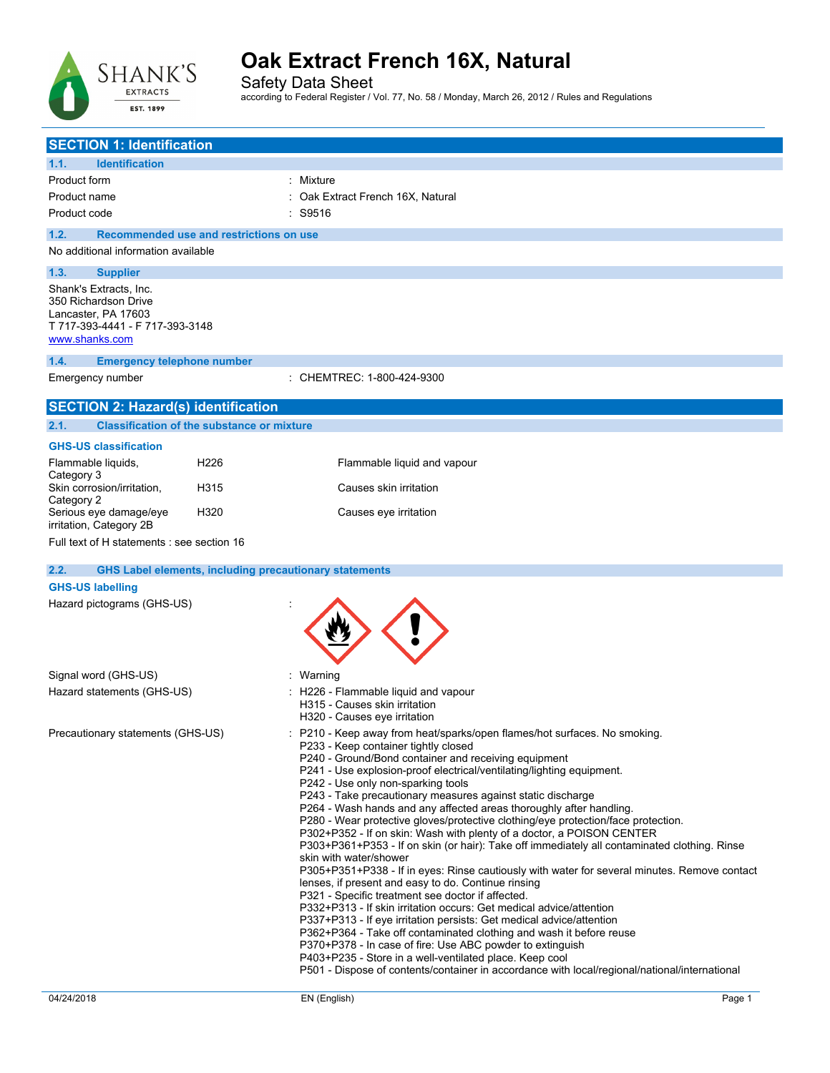

Safety Data Sheet according to Federal Register / Vol. 77, No. 58 / Monday, March 26, 2012 / Rules and Regulations

| <b>SECTION 1: Identification</b>                                                                                           |                                                                                                                                                                                                                                                                                                                                                                                                                                                                                                                                                                                                                                                                                                                                                                                                                                                                                                                                                                                                                                                                                                                                                                                                                                                                                                                                                                                 |
|----------------------------------------------------------------------------------------------------------------------------|---------------------------------------------------------------------------------------------------------------------------------------------------------------------------------------------------------------------------------------------------------------------------------------------------------------------------------------------------------------------------------------------------------------------------------------------------------------------------------------------------------------------------------------------------------------------------------------------------------------------------------------------------------------------------------------------------------------------------------------------------------------------------------------------------------------------------------------------------------------------------------------------------------------------------------------------------------------------------------------------------------------------------------------------------------------------------------------------------------------------------------------------------------------------------------------------------------------------------------------------------------------------------------------------------------------------------------------------------------------------------------|
| <b>Identification</b><br>1.1.                                                                                              |                                                                                                                                                                                                                                                                                                                                                                                                                                                                                                                                                                                                                                                                                                                                                                                                                                                                                                                                                                                                                                                                                                                                                                                                                                                                                                                                                                                 |
| <b>Product form</b>                                                                                                        | Mixture                                                                                                                                                                                                                                                                                                                                                                                                                                                                                                                                                                                                                                                                                                                                                                                                                                                                                                                                                                                                                                                                                                                                                                                                                                                                                                                                                                         |
| Product name                                                                                                               | Oak Extract French 16X, Natural                                                                                                                                                                                                                                                                                                                                                                                                                                                                                                                                                                                                                                                                                                                                                                                                                                                                                                                                                                                                                                                                                                                                                                                                                                                                                                                                                 |
| Product code                                                                                                               | : S9516                                                                                                                                                                                                                                                                                                                                                                                                                                                                                                                                                                                                                                                                                                                                                                                                                                                                                                                                                                                                                                                                                                                                                                                                                                                                                                                                                                         |
| 1.2.<br>Recommended use and restrictions on use                                                                            |                                                                                                                                                                                                                                                                                                                                                                                                                                                                                                                                                                                                                                                                                                                                                                                                                                                                                                                                                                                                                                                                                                                                                                                                                                                                                                                                                                                 |
| No additional information available                                                                                        |                                                                                                                                                                                                                                                                                                                                                                                                                                                                                                                                                                                                                                                                                                                                                                                                                                                                                                                                                                                                                                                                                                                                                                                                                                                                                                                                                                                 |
| 1.3.<br><b>Supplier</b>                                                                                                    |                                                                                                                                                                                                                                                                                                                                                                                                                                                                                                                                                                                                                                                                                                                                                                                                                                                                                                                                                                                                                                                                                                                                                                                                                                                                                                                                                                                 |
| Shank's Extracts, Inc.<br>350 Richardson Drive<br>Lancaster, PA 17603<br>T 717-393-4441 - F 717-393-3148<br>www.shanks.com |                                                                                                                                                                                                                                                                                                                                                                                                                                                                                                                                                                                                                                                                                                                                                                                                                                                                                                                                                                                                                                                                                                                                                                                                                                                                                                                                                                                 |
| 1.4.<br><b>Emergency telephone number</b>                                                                                  |                                                                                                                                                                                                                                                                                                                                                                                                                                                                                                                                                                                                                                                                                                                                                                                                                                                                                                                                                                                                                                                                                                                                                                                                                                                                                                                                                                                 |
| Emergency number                                                                                                           | CHEMTREC: 1-800-424-9300                                                                                                                                                                                                                                                                                                                                                                                                                                                                                                                                                                                                                                                                                                                                                                                                                                                                                                                                                                                                                                                                                                                                                                                                                                                                                                                                                        |
| <b>SECTION 2: Hazard(s) identification</b>                                                                                 |                                                                                                                                                                                                                                                                                                                                                                                                                                                                                                                                                                                                                                                                                                                                                                                                                                                                                                                                                                                                                                                                                                                                                                                                                                                                                                                                                                                 |
| <b>Classification of the substance or mixture</b><br>2.1.                                                                  |                                                                                                                                                                                                                                                                                                                                                                                                                                                                                                                                                                                                                                                                                                                                                                                                                                                                                                                                                                                                                                                                                                                                                                                                                                                                                                                                                                                 |
| <b>GHS-US classification</b>                                                                                               |                                                                                                                                                                                                                                                                                                                                                                                                                                                                                                                                                                                                                                                                                                                                                                                                                                                                                                                                                                                                                                                                                                                                                                                                                                                                                                                                                                                 |
| H <sub>226</sub><br>Flammable liquids,<br>Category 3                                                                       | Flammable liquid and vapour                                                                                                                                                                                                                                                                                                                                                                                                                                                                                                                                                                                                                                                                                                                                                                                                                                                                                                                                                                                                                                                                                                                                                                                                                                                                                                                                                     |
| Skin corrosion/irritation,<br>H315<br>Category 2                                                                           | Causes skin irritation                                                                                                                                                                                                                                                                                                                                                                                                                                                                                                                                                                                                                                                                                                                                                                                                                                                                                                                                                                                                                                                                                                                                                                                                                                                                                                                                                          |
| Serious eye damage/eye<br>H320<br>irritation, Category 2B                                                                  | Causes eye irritation                                                                                                                                                                                                                                                                                                                                                                                                                                                                                                                                                                                                                                                                                                                                                                                                                                                                                                                                                                                                                                                                                                                                                                                                                                                                                                                                                           |
| Full text of H statements : see section 16                                                                                 |                                                                                                                                                                                                                                                                                                                                                                                                                                                                                                                                                                                                                                                                                                                                                                                                                                                                                                                                                                                                                                                                                                                                                                                                                                                                                                                                                                                 |
| <b>GHS Label elements, including precautionary statements</b><br>2.2.                                                      |                                                                                                                                                                                                                                                                                                                                                                                                                                                                                                                                                                                                                                                                                                                                                                                                                                                                                                                                                                                                                                                                                                                                                                                                                                                                                                                                                                                 |
| <b>GHS-US labelling</b>                                                                                                    |                                                                                                                                                                                                                                                                                                                                                                                                                                                                                                                                                                                                                                                                                                                                                                                                                                                                                                                                                                                                                                                                                                                                                                                                                                                                                                                                                                                 |
| Hazard pictograms (GHS-US)                                                                                                 |                                                                                                                                                                                                                                                                                                                                                                                                                                                                                                                                                                                                                                                                                                                                                                                                                                                                                                                                                                                                                                                                                                                                                                                                                                                                                                                                                                                 |
|                                                                                                                            |                                                                                                                                                                                                                                                                                                                                                                                                                                                                                                                                                                                                                                                                                                                                                                                                                                                                                                                                                                                                                                                                                                                                                                                                                                                                                                                                                                                 |
| Signal word (GHS-US)                                                                                                       | Warning                                                                                                                                                                                                                                                                                                                                                                                                                                                                                                                                                                                                                                                                                                                                                                                                                                                                                                                                                                                                                                                                                                                                                                                                                                                                                                                                                                         |
| Hazard statements (GHS-US)                                                                                                 | H226 - Flammable liquid and vapour<br>H315 - Causes skin irritation<br>H320 - Causes eye irritation                                                                                                                                                                                                                                                                                                                                                                                                                                                                                                                                                                                                                                                                                                                                                                                                                                                                                                                                                                                                                                                                                                                                                                                                                                                                             |
| Precautionary statements (GHS-US)                                                                                          | P210 - Keep away from heat/sparks/open flames/hot surfaces. No smoking.<br>P233 - Keep container tightly closed<br>P240 - Ground/Bond container and receiving equipment<br>P241 - Use explosion-proof electrical/ventilating/lighting equipment.<br>P242 - Use only non-sparking tools<br>P243 - Take precautionary measures against static discharge<br>P264 - Wash hands and any affected areas thoroughly after handling.<br>P280 - Wear protective gloves/protective clothing/eye protection/face protection.<br>P302+P352 - If on skin: Wash with plenty of a doctor, a POISON CENTER<br>P303+P361+P353 - If on skin (or hair): Take off immediately all contaminated clothing. Rinse<br>skin with water/shower<br>P305+P351+P338 - If in eyes: Rinse cautiously with water for several minutes. Remove contact<br>lenses, if present and easy to do. Continue rinsing<br>P321 - Specific treatment see doctor if affected.<br>P332+P313 - If skin irritation occurs: Get medical advice/attention<br>P337+P313 - If eye irritation persists: Get medical advice/attention<br>P362+P364 - Take off contaminated clothing and wash it before reuse<br>P370+P378 - In case of fire: Use ABC powder to extinguish<br>P403+P235 - Store in a well-ventilated place. Keep cool<br>P501 - Dispose of contents/container in accordance with local/regional/national/international |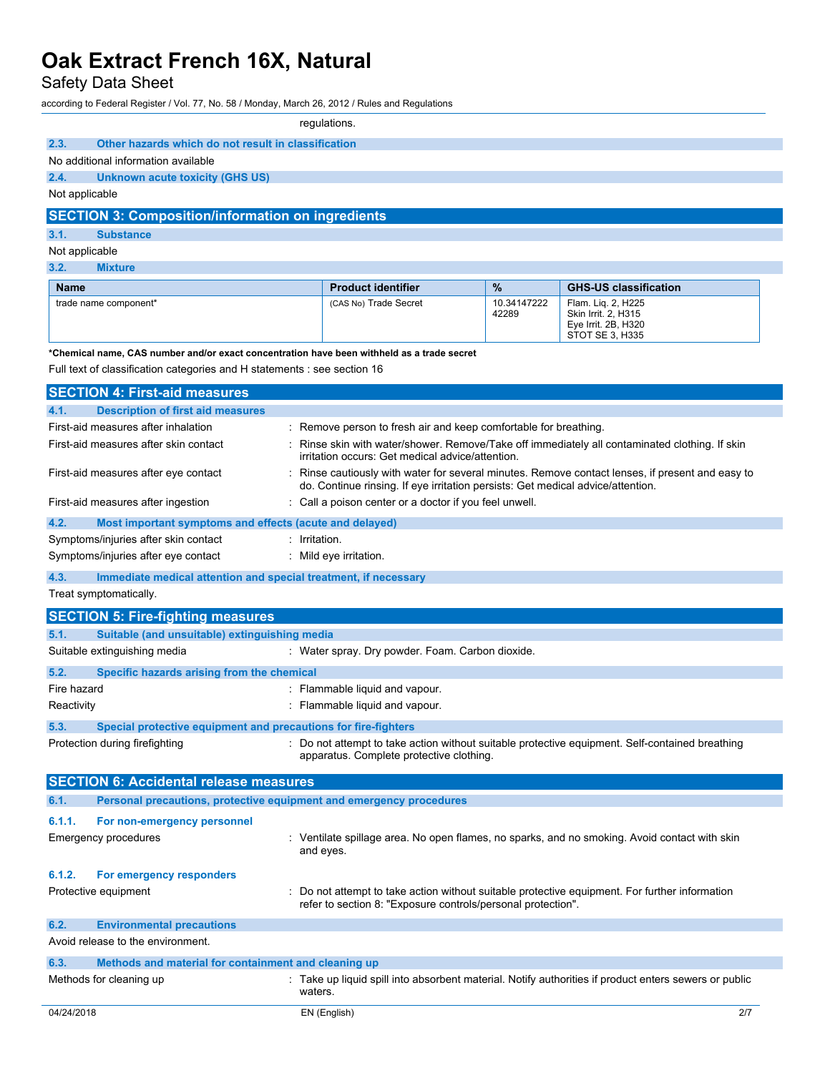## Safety Data Sheet

according to Federal Register / Vol. 77, No. 58 / Monday, March 26, 2012 / Rules and Regulations

|                                                                                            |                                                                 | regulations.                                                                               |                      |                                                                                                     |
|--------------------------------------------------------------------------------------------|-----------------------------------------------------------------|--------------------------------------------------------------------------------------------|----------------------|-----------------------------------------------------------------------------------------------------|
| 2.3.                                                                                       |                                                                 |                                                                                            |                      |                                                                                                     |
| Other hazards which do not result in classification<br>No additional information available |                                                                 |                                                                                            |                      |                                                                                                     |
| 2.4.<br><b>Unknown acute toxicity (GHS US)</b>                                             |                                                                 |                                                                                            |                      |                                                                                                     |
| Not applicable                                                                             |                                                                 |                                                                                            |                      |                                                                                                     |
| <b>SECTION 3: Composition/information on ingredients</b>                                   |                                                                 |                                                                                            |                      |                                                                                                     |
| 3.1.<br><b>Substance</b>                                                                   |                                                                 |                                                                                            |                      |                                                                                                     |
| Not applicable                                                                             |                                                                 |                                                                                            |                      |                                                                                                     |
| 3.2.<br><b>Mixture</b>                                                                     |                                                                 |                                                                                            |                      |                                                                                                     |
| <b>Name</b>                                                                                |                                                                 | <b>Product identifier</b>                                                                  | %                    | <b>GHS-US classification</b>                                                                        |
| trade name component*                                                                      |                                                                 | (CAS No) Trade Secret                                                                      | 10.34147222<br>42289 | Flam. Liq. 2, H225<br>Skin Irrit. 2, H315<br>Eye Irrit. 2B, H320<br>STOT SE 3, H335                 |
|                                                                                            |                                                                 | *Chemical name, CAS number and/or exact concentration have been withheld as a trade secret |                      |                                                                                                     |
| Full text of classification categories and H statements : see section 16                   |                                                                 |                                                                                            |                      |                                                                                                     |
| <b>SECTION 4: First-aid measures</b>                                                       |                                                                 |                                                                                            |                      |                                                                                                     |
| 4.1.<br><b>Description of first aid measures</b>                                           |                                                                 |                                                                                            |                      |                                                                                                     |
| First-aid measures after inhalation                                                        |                                                                 | : Remove person to fresh air and keep comfortable for breathing.                           |                      |                                                                                                     |
| First-aid measures after skin contact                                                      |                                                                 | irritation occurs: Get medical advice/attention.                                           |                      | Rinse skin with water/shower. Remove/Take off immediately all contaminated clothing. If skin        |
| First-aid measures after eye contact                                                       |                                                                 | do. Continue rinsing. If eye irritation persists: Get medical advice/attention.            |                      | Rinse cautiously with water for several minutes. Remove contact lenses, if present and easy to      |
| First-aid measures after ingestion                                                         |                                                                 | : Call a poison center or a doctor if you feel unwell.                                     |                      |                                                                                                     |
| 4.2.                                                                                       | Most important symptoms and effects (acute and delayed)         |                                                                                            |                      |                                                                                                     |
| Symptoms/injuries after skin contact                                                       | $:$ Irritation.                                                 |                                                                                            |                      |                                                                                                     |
| Symptoms/injuries after eye contact                                                        |                                                                 | $:$ Mild eye irritation.                                                                   |                      |                                                                                                     |
| 4.3.                                                                                       | Immediate medical attention and special treatment, if necessary |                                                                                            |                      |                                                                                                     |
| Treat symptomatically.                                                                     |                                                                 |                                                                                            |                      |                                                                                                     |
| <b>SECTION 5: Fire-fighting measures</b>                                                   |                                                                 |                                                                                            |                      |                                                                                                     |
| 5.1.                                                                                       | Suitable (and unsuitable) extinguishing media                   |                                                                                            |                      |                                                                                                     |
| Suitable extinguishing media                                                               |                                                                 | : Water spray. Dry powder. Foam. Carbon dioxide.                                           |                      |                                                                                                     |
| 5.2.                                                                                       | Specific hazards arising from the chemical                      |                                                                                            |                      |                                                                                                     |
| Fire hazard                                                                                |                                                                 | : Flammable liquid and vapour.                                                             |                      |                                                                                                     |
| Reactivity                                                                                 |                                                                 | : Flammable liquid and vapour.                                                             |                      |                                                                                                     |
| 5.3.                                                                                       | Special protective equipment and precautions for fire-fighters  |                                                                                            |                      |                                                                                                     |
| Protection during firefighting                                                             |                                                                 | apparatus. Complete protective clothing.                                                   |                      | : Do not attempt to take action without suitable protective equipment. Self-contained breathing     |
| <b>SECTION 6: Accidental release measures</b>                                              |                                                                 |                                                                                            |                      |                                                                                                     |
| 6.1.                                                                                       |                                                                 | Personal precautions, protective equipment and emergency procedures                        |                      |                                                                                                     |
| 6.1.1.<br>For non-emergency personnel                                                      |                                                                 |                                                                                            |                      |                                                                                                     |
| <b>Emergency procedures</b>                                                                |                                                                 | and eyes.                                                                                  |                      | : Ventilate spillage area. No open flames, no sparks, and no smoking. Avoid contact with skin       |
| 6.1.2.<br>For emergency responders<br>Protective equipment                                 |                                                                 | refer to section 8: "Exposure controls/personal protection".                               |                      | Do not attempt to take action without suitable protective equipment. For further information        |
| 6.2.<br><b>Environmental precautions</b><br>Avoid release to the environment.              |                                                                 |                                                                                            |                      |                                                                                                     |
| 6.3.<br>Methods for cleaning up                                                            | Methods and material for containment and cleaning up<br>waters. |                                                                                            |                      | Take up liquid spill into absorbent material. Notify authorities if product enters sewers or public |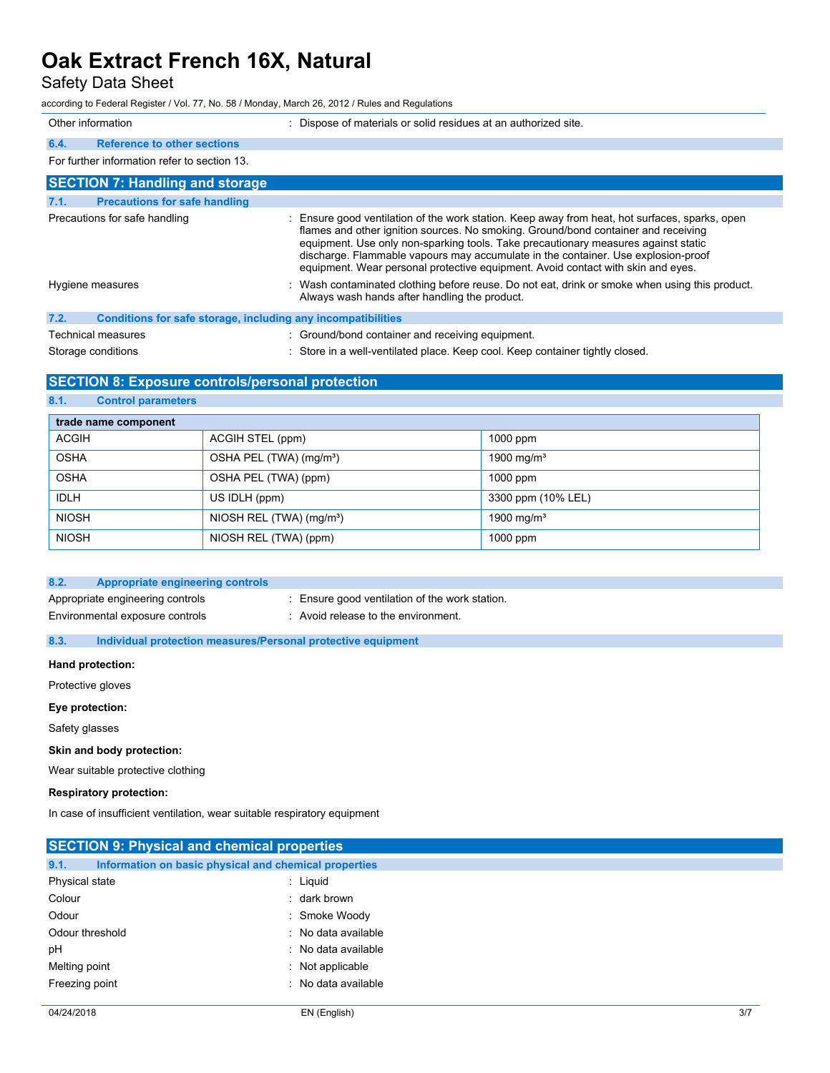## Safety Data Sheet

| according to Federal Register / Vol. 77, No. 58 / Monday, March 26, 2012 / Rules and Regulations                                 |                                                                                                                                                                                                                                                                                                                                                                                                                                                     |
|----------------------------------------------------------------------------------------------------------------------------------|-----------------------------------------------------------------------------------------------------------------------------------------------------------------------------------------------------------------------------------------------------------------------------------------------------------------------------------------------------------------------------------------------------------------------------------------------------|
| Other information                                                                                                                | : Dispose of materials or solid residues at an authorized site.                                                                                                                                                                                                                                                                                                                                                                                     |
| <b>Reference to other sections</b><br>6.4.                                                                                       |                                                                                                                                                                                                                                                                                                                                                                                                                                                     |
| For further information refer to section 13.                                                                                     |                                                                                                                                                                                                                                                                                                                                                                                                                                                     |
| <b>SECTION 7: Handling and storage</b>                                                                                           |                                                                                                                                                                                                                                                                                                                                                                                                                                                     |
| <b>Precautions for safe handling</b><br>7.1.                                                                                     |                                                                                                                                                                                                                                                                                                                                                                                                                                                     |
| Precautions for safe handling                                                                                                    | : Ensure good ventilation of the work station. Keep away from heat, hot surfaces, sparks, open<br>flames and other ignition sources. No smoking. Ground/bond container and receiving<br>equipment. Use only non-sparking tools. Take precautionary measures against static<br>discharge. Flammable vapours may accumulate in the container. Use explosion-proof<br>equipment. Wear personal protective equipment. Avoid contact with skin and eyes. |
| Hygiene measures                                                                                                                 | : Wash contaminated clothing before reuse. Do not eat, drink or smoke when using this product.<br>Always wash hands after handling the product.                                                                                                                                                                                                                                                                                                     |
| $\sim$ $\sim$<br>A constitution of the contractor and constitutional constitution of a constitution of the first constitution of |                                                                                                                                                                                                                                                                                                                                                                                                                                                     |

**7.2. Conditions for safe storage, including any incompatibilities** Technical measures **in the container and receiving equipment.**  $\cdot$  Ground/bond container and receiving equipment.

Storage conditions **in a well-ventilated place.** Keep cool. Keep container tightly closed.

## **SECTION 8: Exposure controls/personal protection**

**8.1. Control parameters**

| trade name component |                                        |                        |
|----------------------|----------------------------------------|------------------------|
| <b>ACGIH</b>         | ACGIH STEL (ppm)                       | $1000$ ppm             |
| <b>OSHA</b>          | OSHA PEL (TWA) (mg/m <sup>3</sup> )    | 1900 mg/m <sup>3</sup> |
| <b>OSHA</b>          | OSHA PEL (TWA) (ppm)                   | $1000$ ppm             |
| <b>IDLH</b>          | US IDLH (ppm)                          | 3300 ppm (10% LEL)     |
| <b>NIOSH</b>         | NIOSH REL $(TWA)$ (mg/m <sup>3</sup> ) | 1900 mg/m <sup>3</sup> |
| <b>NIOSH</b>         | NIOSH REL (TWA) (ppm)                  | $1000$ ppm             |

| 8.2. | Appropriate engineering controls                                    |                                                                                       |
|------|---------------------------------------------------------------------|---------------------------------------------------------------------------------------|
|      | Appropriate engineering controls<br>Environmental exposure controls | : Ensure good ventilation of the work station.<br>: Avoid release to the environment. |
|      |                                                                     |                                                                                       |

**8.3. Individual protection measures/Personal protective equipment**

#### **Hand protection:**

Protective gloves

#### **Eye protection:**

Safety glasses

#### **Skin and body protection:**

Wear suitable protective clothing

**Respiratory protection:**

In case of insufficient ventilation, wear suitable respiratory equipment

| <b>SECTION 9: Physical and chemical properties</b>            |                     |  |
|---------------------------------------------------------------|---------------------|--|
| 9.1.<br>Information on basic physical and chemical properties |                     |  |
| Physical state                                                | $:$ Liquid          |  |
| Colour                                                        | : dark brown        |  |
| Odour                                                         | : Smoke Woody       |  |
| Odour threshold                                               | : No data available |  |
| pH                                                            | : No data available |  |
| Melting point                                                 | $:$ Not applicable  |  |
| Freezing point                                                | : No data available |  |
|                                                               |                     |  |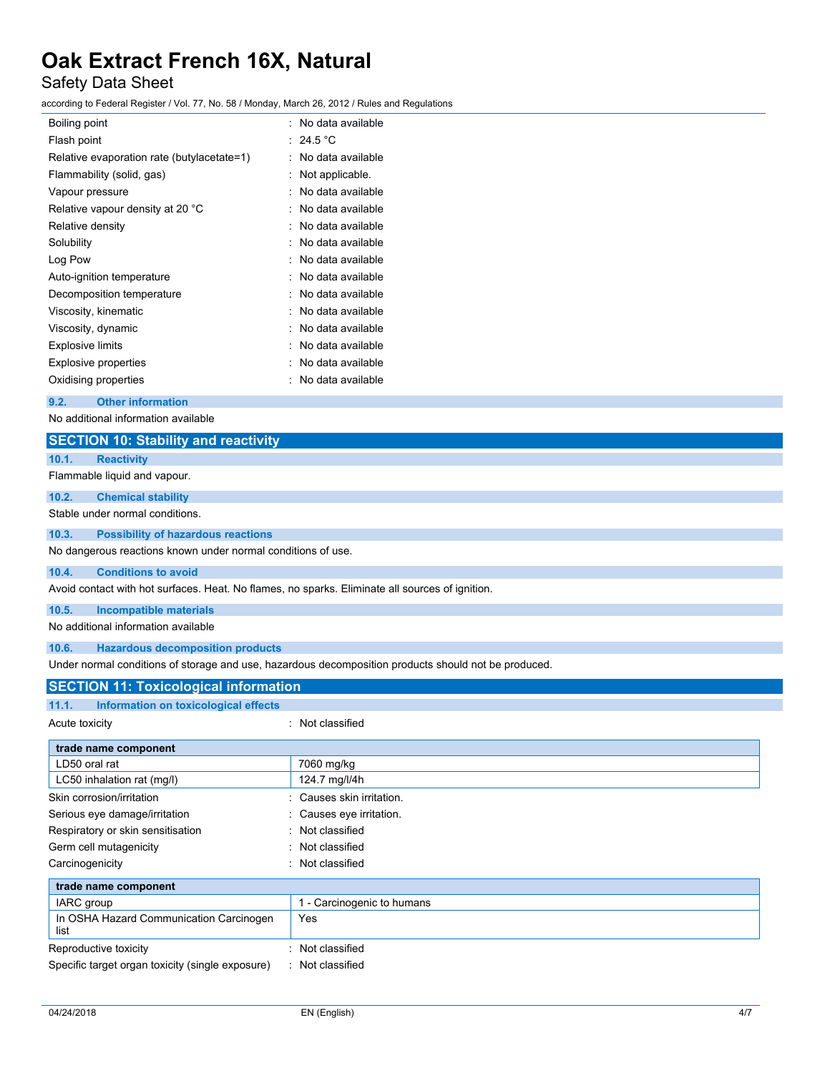## Safety Data Sheet

according to Federal Register / Vol. 77, No. 58 / Monday, March 26, 2012 / Rules and Regulations

| Boiling point                              | No data available |
|--------------------------------------------|-------------------|
| Flash point                                | $\div$ 24.5 °C    |
| Relative evaporation rate (butylacetate=1) | No data available |
| Flammability (solid, gas)                  | Not applicable.   |
| Vapour pressure                            | No data available |
| Relative vapour density at 20 °C           | No data available |
| Relative density                           | No data available |
| Solubility                                 | No data available |
| Log Pow                                    | No data available |
| Auto-ignition temperature                  | No data available |
| Decomposition temperature                  | No data available |
| Viscosity, kinematic                       | No data available |
| Viscosity, dynamic                         | No data available |
| Explosive limits                           | No data available |
| <b>Explosive properties</b>                | No data available |
| Oxidising properties                       | No data available |
|                                            |                   |

**9.2. Other information**

No additional information available

| <b>SECTION 10: Stability and reactivity</b>                                                     |                                                                                                      |
|-------------------------------------------------------------------------------------------------|------------------------------------------------------------------------------------------------------|
| <b>Reactivity</b><br>10.1.                                                                      |                                                                                                      |
| Flammable liquid and vapour.                                                                    |                                                                                                      |
| 10.2.<br><b>Chemical stability</b>                                                              |                                                                                                      |
| Stable under normal conditions.                                                                 |                                                                                                      |
| 10.3.<br><b>Possibility of hazardous reactions</b>                                              |                                                                                                      |
| No dangerous reactions known under normal conditions of use.                                    |                                                                                                      |
| 10.4.<br><b>Conditions to avoid</b>                                                             |                                                                                                      |
| Avoid contact with hot surfaces. Heat. No flames, no sparks. Eliminate all sources of ignition. |                                                                                                      |
| 10.5.<br><b>Incompatible materials</b>                                                          |                                                                                                      |
| No additional information available                                                             |                                                                                                      |
| <b>Hazardous decomposition products</b><br>10.6.                                                |                                                                                                      |
|                                                                                                 | Under normal conditions of storage and use, hazardous decomposition products should not be produced. |
| <b>SECTION 11: Toxicological information</b>                                                    |                                                                                                      |
| Information on toxicological effects<br>11.1.                                                   |                                                                                                      |
| Acute toxicity                                                                                  | : Not classified                                                                                     |
| trade name component                                                                            |                                                                                                      |
| LD50 oral rat                                                                                   | 7060 mg/kg                                                                                           |
| LC50 inhalation rat (mg/l)                                                                      | 124.7 mg/l/4h                                                                                        |
| Skin corrosion/irritation                                                                       | Causes skin irritation.                                                                              |
| Serious eye damage/irritation                                                                   | Causes eye irritation.                                                                               |
| Respiratory or skin sensitisation                                                               | Not classified                                                                                       |
| Germ cell mutagenicity                                                                          | Not classified                                                                                       |
| Carcinogenicity                                                                                 | Not classified                                                                                       |
| trade name component                                                                            |                                                                                                      |
| IARC group                                                                                      | 1 - Carcinogenic to humans                                                                           |
| In OSHA Hazard Communication Carcinogen<br>list                                                 | Yes                                                                                                  |
| Reproductive toxicity                                                                           | Not classified                                                                                       |
| Specific target organ toxicity (single exposure)                                                | Not classified                                                                                       |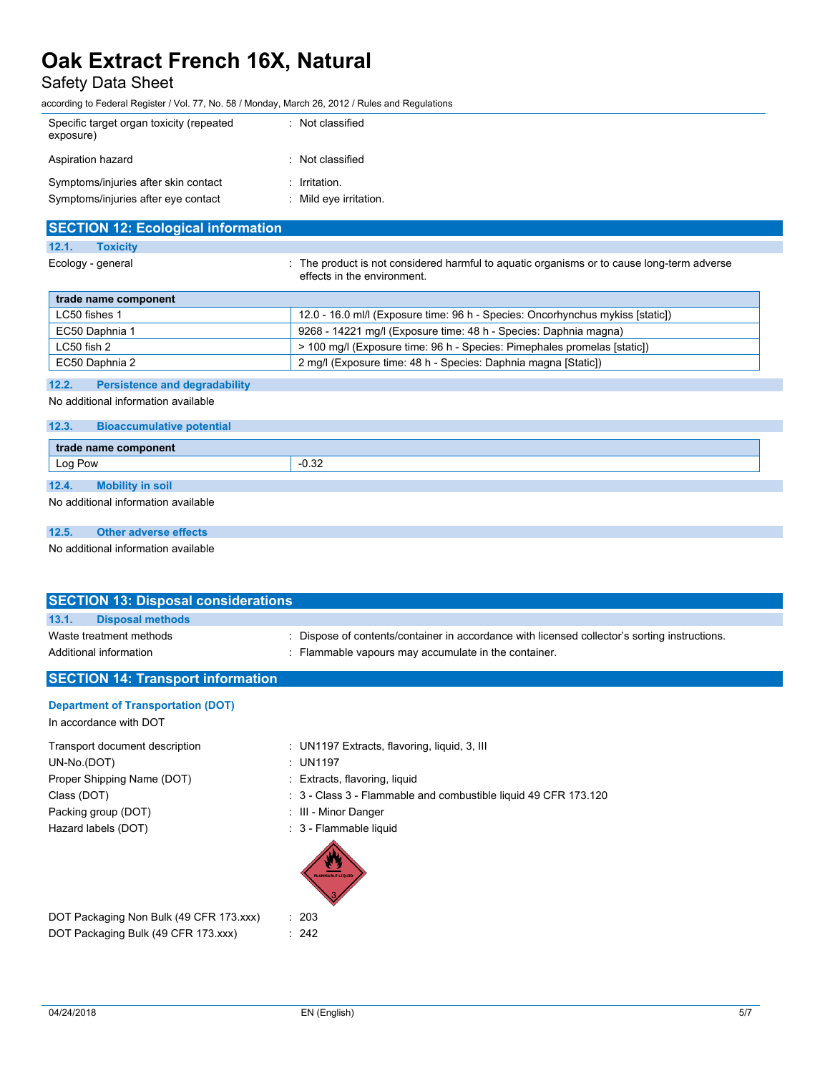## Safety Data Sheet

according to Federal Register / Vol. 77, No. 58 / Monday, March 26, 2012 / Rules and Regulations

| Specific target organ toxicity (repeated<br>exposure)                       | : Not classified                          |
|-----------------------------------------------------------------------------|-------------------------------------------|
| Aspiration hazard                                                           | : Not classified                          |
| Symptoms/injuries after skin contact<br>Symptoms/injuries after eye contact | $:$ Irritation.<br>: Mild eye irritation. |

| <b>SECTION 12: Ecological information</b> |                                                                                                                           |
|-------------------------------------------|---------------------------------------------------------------------------------------------------------------------------|
| 12.1.<br><b>Toxicity</b>                  |                                                                                                                           |
| Ecology - general                         | : The product is not considered harmful to aguatic organisms or to cause long-term adverse<br>effects in the environment. |
| trade name component                      |                                                                                                                           |
| LC50 fishes 1                             | 12.0 - 16.0 ml/l (Exposure time: 96 h - Species: Oncorhynchus mykiss [static])                                            |
| EC50 Daphnia 1                            | 9268 - 14221 mg/l (Exposure time: 48 h - Species: Daphnia magna)                                                          |

LC50 fish 2 <br> 2 100 mg/l (Exposure time: 96 h - Species: Pimephales promelas [static])

EC50 Daphnia 2 2 mg/l (Exposure time: 48 h - Species: Daphnia magna [Static])

### **12.2. Persistence and degradability**

No additional information available

### **12.3. Bioaccumulative potential**

| trade name component |                                     |         |  |
|----------------------|-------------------------------------|---------|--|
| Log Pow              |                                     | $-0.32$ |  |
| 12.4.                | <b>Mobility in soil</b>             |         |  |
|                      | No additional information available |         |  |

### **12.5. Other adverse effects**

No additional information available

| <b>SECTION 13: Disposal considerations</b> |                                                                                               |  |
|--------------------------------------------|-----------------------------------------------------------------------------------------------|--|
| 13.1.<br><b>Disposal methods</b>           |                                                                                               |  |
| Waste treatment methods                    | : Dispose of contents/container in accordance with licensed collector's sorting instructions. |  |
| Additional information                     | : Flammable vapours may accumulate in the container.                                          |  |
| <b>SECTION 14: Transport information</b>   |                                                                                               |  |
| <b>Department of Transportation (DOT)</b>  |                                                                                               |  |
| In accordance with DOT                     |                                                                                               |  |
| Transport desument description             | $\cdot$ IBI4407 Extracts flowarias liquid 2 III                                               |  |

| Transport document description | : UN1197 Extracts, flavoring, liquid, 3, III                    |
|--------------------------------|-----------------------------------------------------------------|
| UN-No.(DOT)                    | : UN1197                                                        |
| Proper Shipping Name (DOT)     | : Extracts, flavoring, liquid                                   |
| Class (DOT)                    | : 3 - Class 3 - Flammable and combustible liquid 49 CFR 173.120 |
| Packing group (DOT)            | : III - Minor Danger                                            |
| Hazard labels (DOT)            | : 3 - Flammable liquid                                          |
|                                | <b>FLAMMABLE LIQUID</b>                                         |

| DOT Packaging Non Bulk (49 CFR 173.xxx) | $\therefore$ 203 |
|-----------------------------------------|------------------|
| DOT Packaging Bulk (49 CFR 173.xxx)     | : 242            |

 $\therefore$  203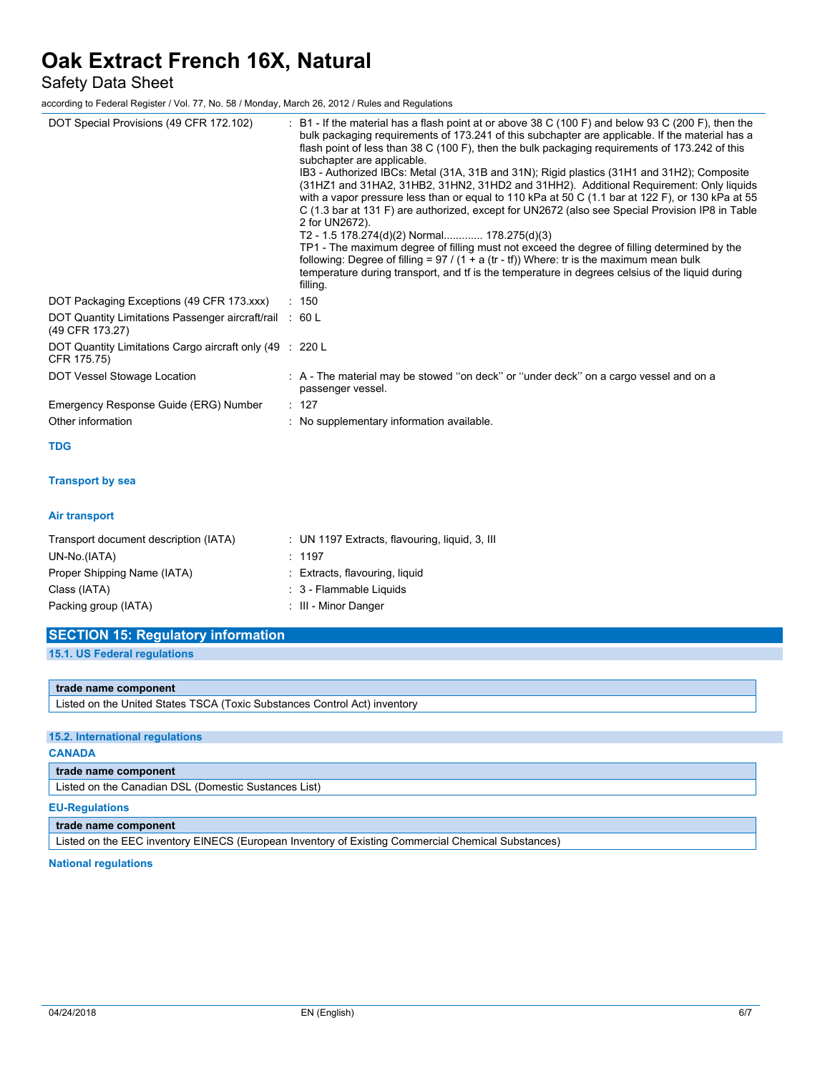Safety Data Sheet

according to Federal Register / Vol. 77, No. 58 / Monday, March 26, 2012 / Rules and Regulations

| DOT Special Provisions (49 CFR 172.102)                                    | B1 - If the material has a flash point at or above 38 C (100 F) and below 93 C (200 F), then the<br>bulk packaging requirements of 173.241 of this subchapter are applicable. If the material has a<br>flash point of less than 38 C (100 F), then the bulk packaging requirements of 173.242 of this<br>subchapter are applicable.<br>IB3 - Authorized IBCs: Metal (31A, 31B and 31N); Rigid plastics (31H1 and 31H2); Composite<br>(31HZ1 and 31HA2, 31HB2, 31HN2, 31HD2 and 31HH2). Additional Requirement: Only liquids<br>with a vapor pressure less than or equal to 110 kPa at 50 C (1.1 bar at 122 F), or 130 kPa at 55<br>C (1.3 bar at 131 F) are authorized, except for UN2672 (also see Special Provision IP8 in Table<br>2 for UN2672).<br>T2 - 1.5 178.274(d)(2) Normal 178.275(d)(3)<br>TP1 - The maximum degree of filling must not exceed the degree of filling determined by the<br>following: Degree of filling = $97 / (1 + a (tr - tf))$ Where: tr is the maximum mean bulk<br>temperature during transport, and tf is the temperature in degrees celsius of the liquid during<br>filling. |
|----------------------------------------------------------------------------|-----------------------------------------------------------------------------------------------------------------------------------------------------------------------------------------------------------------------------------------------------------------------------------------------------------------------------------------------------------------------------------------------------------------------------------------------------------------------------------------------------------------------------------------------------------------------------------------------------------------------------------------------------------------------------------------------------------------------------------------------------------------------------------------------------------------------------------------------------------------------------------------------------------------------------------------------------------------------------------------------------------------------------------------------------------------------------------------------------------------|
| DOT Packaging Exceptions (49 CFR 173.xxx)                                  | : 150                                                                                                                                                                                                                                                                                                                                                                                                                                                                                                                                                                                                                                                                                                                                                                                                                                                                                                                                                                                                                                                                                                           |
| DOT Quantity Limitations Passenger aircraft/rail : 60 L<br>(49 CFR 173.27) |                                                                                                                                                                                                                                                                                                                                                                                                                                                                                                                                                                                                                                                                                                                                                                                                                                                                                                                                                                                                                                                                                                                 |
| DOT Quantity Limitations Cargo aircraft only (49 : 220 L<br>CFR 175.75)    |                                                                                                                                                                                                                                                                                                                                                                                                                                                                                                                                                                                                                                                                                                                                                                                                                                                                                                                                                                                                                                                                                                                 |
| DOT Vessel Stowage Location                                                | : A - The material may be stowed "on deck" or "under deck" on a cargo vessel and on a<br>passenger vessel.                                                                                                                                                                                                                                                                                                                                                                                                                                                                                                                                                                                                                                                                                                                                                                                                                                                                                                                                                                                                      |
| Emergency Response Guide (ERG) Number                                      | : 127                                                                                                                                                                                                                                                                                                                                                                                                                                                                                                                                                                                                                                                                                                                                                                                                                                                                                                                                                                                                                                                                                                           |
| Other information                                                          | : No supplementary information available.                                                                                                                                                                                                                                                                                                                                                                                                                                                                                                                                                                                                                                                                                                                                                                                                                                                                                                                                                                                                                                                                       |
| <b>TDG</b>                                                                 |                                                                                                                                                                                                                                                                                                                                                                                                                                                                                                                                                                                                                                                                                                                                                                                                                                                                                                                                                                                                                                                                                                                 |
| <b>Transport by sea</b>                                                    |                                                                                                                                                                                                                                                                                                                                                                                                                                                                                                                                                                                                                                                                                                                                                                                                                                                                                                                                                                                                                                                                                                                 |
| <b>Air transport</b>                                                       |                                                                                                                                                                                                                                                                                                                                                                                                                                                                                                                                                                                                                                                                                                                                                                                                                                                                                                                                                                                                                                                                                                                 |
| Transport document description (IATA)                                      | : UN 1197 Extracts, flavouring, liquid, 3, III                                                                                                                                                                                                                                                                                                                                                                                                                                                                                                                                                                                                                                                                                                                                                                                                                                                                                                                                                                                                                                                                  |
| UN-No.(IATA)                                                               | : 1197                                                                                                                                                                                                                                                                                                                                                                                                                                                                                                                                                                                                                                                                                                                                                                                                                                                                                                                                                                                                                                                                                                          |
| Proper Shipping Name (IATA)                                                | Extracts, flavouring, liquid                                                                                                                                                                                                                                                                                                                                                                                                                                                                                                                                                                                                                                                                                                                                                                                                                                                                                                                                                                                                                                                                                    |
| Class (IATA)                                                               | : 3 - Flammable Liquids                                                                                                                                                                                                                                                                                                                                                                                                                                                                                                                                                                                                                                                                                                                                                                                                                                                                                                                                                                                                                                                                                         |
| Packing group (IATA)                                                       | : III - Minor Danger                                                                                                                                                                                                                                                                                                                                                                                                                                                                                                                                                                                                                                                                                                                                                                                                                                                                                                                                                                                                                                                                                            |
| <b>SECTION 15: Regulatory information</b>                                  |                                                                                                                                                                                                                                                                                                                                                                                                                                                                                                                                                                                                                                                                                                                                                                                                                                                                                                                                                                                                                                                                                                                 |

| <b>PLOTION TO. INGUILLOTY II</b> |  |  |  |
|----------------------------------|--|--|--|
|                                  |  |  |  |
|                                  |  |  |  |

**15.1. US Federal regulations**

#### **trade name component**

Listed on the United States TSCA (Toxic Substances Control Act) inventory

### **15.2. International regulations**

### **CANADA**

**trade name component**

Listed on the Canadian DSL (Domestic Sustances List)

#### **EU-Regulations**

**trade name component**

Listed on the EEC inventory EINECS (European Inventory of Existing Commercial Chemical Substances)

### **National regulations**